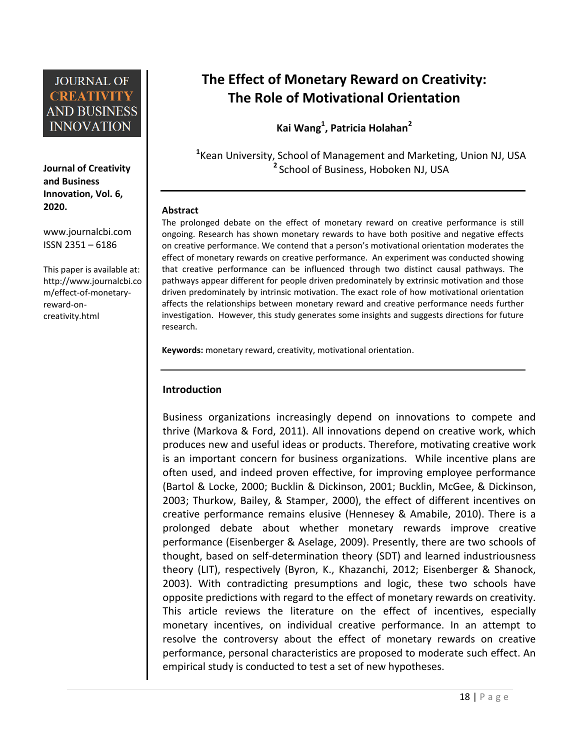**Journal of Creativity and Business Innovation, Vol. 6, 2020.**

[www.journalcbi.com](http://www.journalcbi.com/) ISSN 2351 – 6186

This paper is available at: [http://www.journalcbi.co](http://www.journalcbi.com/ideation-using-analogies.html) [m/effect-of-monetary](http://www.journalcbi.com/ideation-using-analogies.html)[reward-on](http://www.journalcbi.com/ideation-using-analogies.html)[creativity.html](http://www.journalcbi.com/ideation-using-analogies.html)

# **The Effect of Monetary Reward on Creativity: The Role of Motivational Orientation**

**Kai Wang<sup>1</sup> , Patricia Holahan<sup>2</sup>**

**1** Kean University, School of Management and Marketing, Union NJ, USA **2** School of Business, Hoboken NJ, USA

#### **Abstract**

The prolonged debate on the effect of monetary reward on creative performance is still ongoing. Research has shown monetary rewards to have both positive and negative effects on creative performance. We contend that a person's motivational orientation moderates the effect of monetary rewards on creative performance. An experiment was conducted showing that creative performance can be influenced through two distinct causal pathways. The pathways appear different for people driven predominately by extrinsic motivation and those driven predominately by intrinsic motivation. The exact role of how motivational orientation affects the relationships between monetary reward and creative performance needs further investigation. However, this study generates some insights and suggests directions for future research.

**Keywords:** monetary reward, creativity, motivational orientation.

### **Introduction**

Business organizations increasingly depend on innovations to compete and thrive (Markova & Ford, 2011). All innovations depend on creative work, which produces new and useful ideas or products. Therefore, motivating creative work is an important concern for business organizations. While incentive plans are often used, and indeed proven effective, for improving employee performance (Bartol & Locke, 2000; Bucklin & Dickinson, 2001; Bucklin, McGee, & Dickinson, 2003; Thurkow, Bailey, & Stamper, 2000), the effect of different incentives on creative performance remains elusive (Hennesey & Amabile, 2010). There is a prolonged debate about whether monetary rewards improve creative performance (Eisenberger & Aselage, 2009). Presently, there are two schools of thought, based on self-determination theory (SDT) and learned industriousness theory (LIT), respectively (Byron, K., Khazanchi, 2012; Eisenberger & Shanock, 2003). With contradicting presumptions and logic, these two schools have opposite predictions with regard to the effect of monetary rewards on creativity. This article reviews the literature on the effect of incentives, especially monetary incentives, on individual creative performance. In an attempt to resolve the controversy about the effect of monetary rewards on creative performance, personal characteristics are proposed to moderate such effect. An empirical study is conducted to test a set of new hypotheses.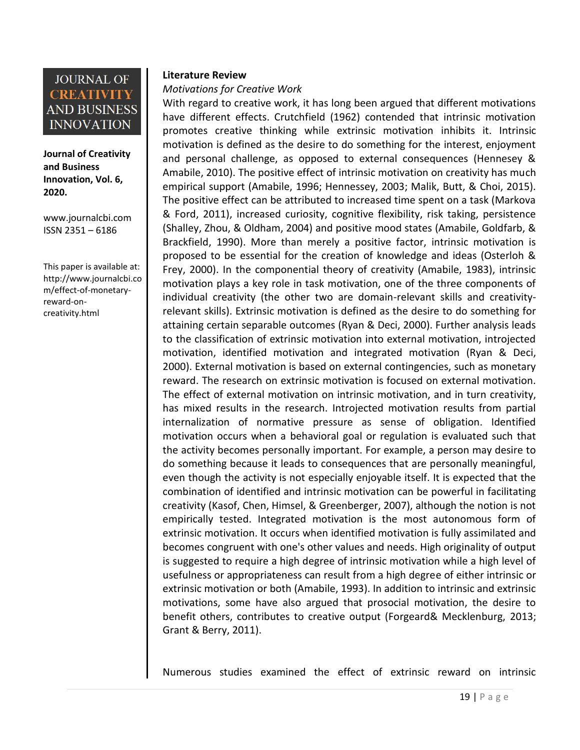**Journal of Creativity and Business Innovation, Vol. 6, 2020.**

[www.journalcbi.com](http://www.journalcbi.com/) ISSN 2351 – 6186

This paper is available at: [http://www.journalcbi.co](http://www.journalcbi.com/ideation-using-analogies.html) [m/effect-of-monetary](http://www.journalcbi.com/ideation-using-analogies.html)[reward-on](http://www.journalcbi.com/ideation-using-analogies.html)[creativity.html](http://www.journalcbi.com/ideation-using-analogies.html)

#### **Literature Review**

#### *Motivations for Creative Work*

With regard to creative work, it has long been argued that different motivations have different effects. Crutchfield (1962) contended that intrinsic motivation promotes creative thinking while extrinsic motivation inhibits it. Intrinsic motivation is defined as the desire to do something for the interest, enjoyment and personal challenge, as opposed to external consequences (Hennesey & Amabile, 2010). The positive effect of intrinsic motivation on creativity has much empirical support (Amabile, 1996; Hennessey, 2003; Malik, Butt, & Choi, 2015). The positive effect can be attributed to increased time spent on a task (Markova & Ford, 2011), increased curiosity, cognitive flexibility, risk taking, persistence (Shalley, Zhou, & Oldham, 2004) and positive mood states (Amabile, Goldfarb, & Brackfield, 1990). More than merely a positive factor, intrinsic motivation is proposed to be essential for the creation of knowledge and ideas (Osterloh & Frey, 2000). In the componential theory of creativity (Amabile, 1983), intrinsic motivation plays a key role in task motivation, one of the three components of individual creativity (the other two are domain-relevant skills and creativityrelevant skills). Extrinsic motivation is defined as the desire to do something for attaining certain separable outcomes (Ryan & Deci, 2000). Further analysis leads to the classification of extrinsic motivation into external motivation, introjected motivation, identified motivation and integrated motivation (Ryan & Deci, 2000). External motivation is based on external contingencies, such as monetary reward. The research on extrinsic motivation is focused on external motivation. The effect of external motivation on intrinsic motivation, and in turn creativity, has mixed results in the research. Introjected motivation results from partial internalization of normative pressure as sense of obligation. Identified motivation occurs when a behavioral goal or regulation is evaluated such that the activity becomes personally important. For example, a person may desire to do something because it leads to consequences that are personally meaningful, even though the activity is not especially enjoyable itself. It is expected that the combination of identified and intrinsic motivation can be powerful in facilitating creativity (Kasof, Chen, Himsel, & Greenberger, 2007), although the notion is not empirically tested. Integrated motivation is the most autonomous form of extrinsic motivation. It occurs when identified motivation is fully assimilated and becomes congruent with one's other values and needs. High originality of output is suggested to require a high degree of intrinsic motivation while a high level of usefulness or appropriateness can result from a high degree of either intrinsic or extrinsic motivation or both (Amabile, 1993). In addition to intrinsic and extrinsic motivations, some have also argued that prosocial motivation, the desire to benefit others, contributes to creative output (Forgeard& Mecklenburg, 2013; Grant & Berry, 2011).

Numerous studies examined the effect of extrinsic reward on intrinsic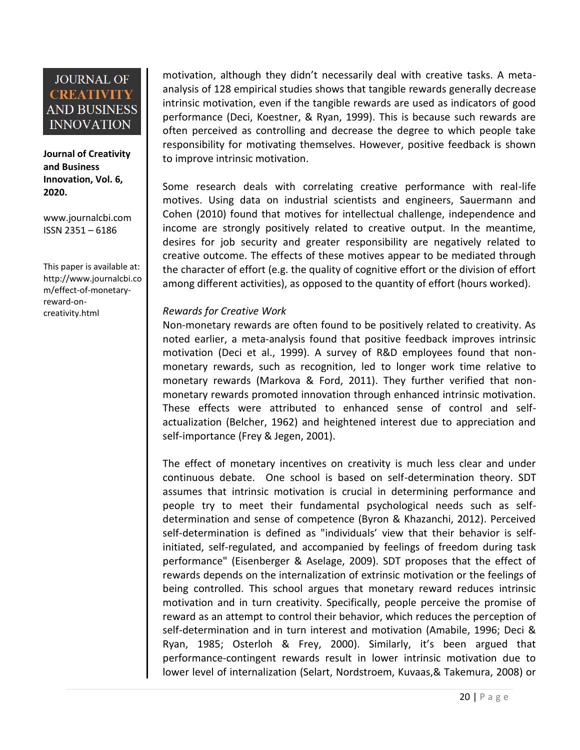**Journal of Creativity and Business Innovation, Vol. 6, 2020.**

[www.journalcbi.com](http://www.journalcbi.com/) ISSN 2351 – 6186

This paper is available at: [http://www.journalcbi.co](http://www.journalcbi.com/ideation-using-analogies.html) [m/effect-of-monetary](http://www.journalcbi.com/ideation-using-analogies.html)[reward-on](http://www.journalcbi.com/ideation-using-analogies.html)[creativity.html](http://www.journalcbi.com/ideation-using-analogies.html)

motivation, although they didn't necessarily deal with creative tasks. A metaanalysis of 128 empirical studies shows that tangible rewards generally decrease intrinsic motivation, even if the tangible rewards are used as indicators of good performance (Deci, Koestner, & Ryan, 1999). This is because such rewards are often perceived as controlling and decrease the degree to which people take responsibility for motivating themselves. However, positive feedback is shown to improve intrinsic motivation.

Some research deals with correlating creative performance with real-life motives. Using data on industrial scientists and engineers, Sauermann and Cohen (2010) found that motives for intellectual challenge, independence and income are strongly positively related to creative output. In the meantime, desires for job security and greater responsibility are negatively related to creative outcome. The effects of these motives appear to be mediated through the character of effort (e.g. the quality of cognitive effort or the division of effort among different activities), as opposed to the quantity of effort (hours worked).

### *Rewards for Creative Work*

Non-monetary rewards are often found to be positively related to creativity. As noted earlier, a meta-analysis found that positive feedback improves intrinsic motivation (Deci et al., 1999). A survey of R&D employees found that nonmonetary rewards, such as recognition, led to longer work time relative to monetary rewards (Markova & Ford, 2011). They further verified that nonmonetary rewards promoted innovation through enhanced intrinsic motivation. These effects were attributed to enhanced sense of control and selfactualization (Belcher, 1962) and heightened interest due to appreciation and self-importance (Frey & Jegen, 2001).

The effect of monetary incentives on creativity is much less clear and under continuous debate. One school is based on self-determination theory. SDT assumes that intrinsic motivation is crucial in determining performance and people try to meet their fundamental psychological needs such as selfdetermination and sense of competence (Byron & Khazanchi, 2012). Perceived self-determination is defined as "individuals' view that their behavior is selfinitiated, self-regulated, and accompanied by feelings of freedom during task performance" (Eisenberger & Aselage, 2009). SDT proposes that the effect of rewards depends on the internalization of extrinsic motivation or the feelings of being controlled. This school argues that monetary reward reduces intrinsic motivation and in turn creativity. Specifically, people perceive the promise of reward as an attempt to control their behavior, which reduces the perception of self-determination and in turn interest and motivation (Amabile, 1996; Deci & Ryan, 1985; Osterloh & Frey, 2000). Similarly, it's been argued that performance-contingent rewards result in lower intrinsic motivation due to lower level of internalization (Selart, Nordstroem, Kuvaas,& Takemura, 2008) or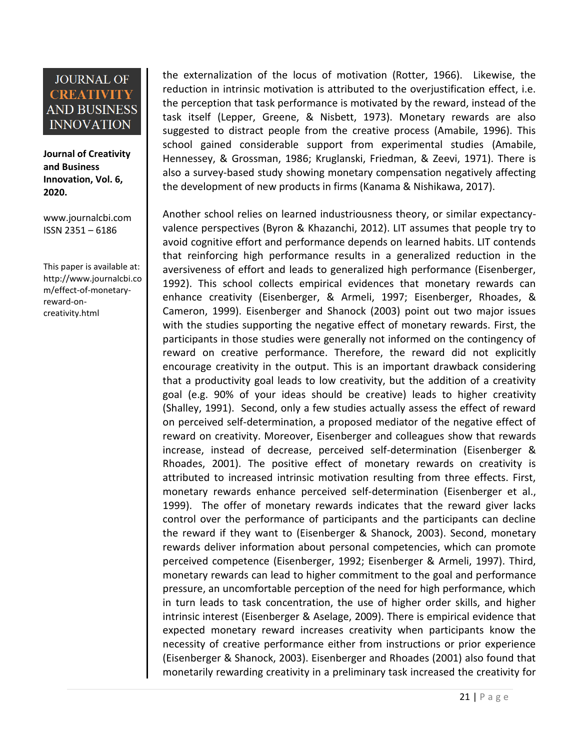**Journal of Creativity and Business Innovation, Vol. 6, 2020.**

[www.journalcbi.com](http://www.journalcbi.com/) ISSN 2351 – 6186

This paper is available at: [http://www.journalcbi.co](http://www.journalcbi.com/ideation-using-analogies.html) [m/effect-of-monetary](http://www.journalcbi.com/ideation-using-analogies.html)[reward-on](http://www.journalcbi.com/ideation-using-analogies.html)[creativity.html](http://www.journalcbi.com/ideation-using-analogies.html)

the externalization of the locus of motivation (Rotter, 1966). Likewise, the reduction in intrinsic motivation is attributed to the overjustification effect, i.e. the perception that task performance is motivated by the reward, instead of the task itself (Lepper, Greene, & Nisbett, 1973). Monetary rewards are also suggested to distract people from the creative process (Amabile, 1996). This school gained considerable support from experimental studies (Amabile, Hennessey, & Grossman, 1986; Kruglanski, Friedman, & Zeevi, 1971). There is also a survey-based study showing monetary compensation negatively affecting the development of new products in firms (Kanama & Nishikawa, 2017).

Another school relies on learned industriousness theory, or similar expectancyvalence perspectives (Byron & Khazanchi, 2012). LIT assumes that people try to avoid cognitive effort and performance depends on learned habits. LIT contends that reinforcing high performance results in a generalized reduction in the aversiveness of effort and leads to generalized high performance (Eisenberger, 1992). This school collects empirical evidences that monetary rewards can enhance creativity (Eisenberger, & Armeli, 1997; Eisenberger, Rhoades, & Cameron, 1999). Eisenberger and Shanock (2003) point out two major issues with the studies supporting the negative effect of monetary rewards. First, the participants in those studies were generally not informed on the contingency of reward on creative performance. Therefore, the reward did not explicitly encourage creativity in the output. This is an important drawback considering that a productivity goal leads to low creativity, but the addition of a creativity goal (e.g. 90% of your ideas should be creative) leads to higher creativity (Shalley, 1991). Second, only a few studies actually assess the effect of reward on perceived self-determination, a proposed mediator of the negative effect of reward on creativity. Moreover, Eisenberger and colleagues show that rewards increase, instead of decrease, perceived self-determination (Eisenberger & Rhoades, 2001). The positive effect of monetary rewards on creativity is attributed to increased intrinsic motivation resulting from three effects. First, monetary rewards enhance perceived self-determination (Eisenberger et al., 1999). The offer of monetary rewards indicates that the reward giver lacks control over the performance of participants and the participants can decline the reward if they want to (Eisenberger & Shanock, 2003). Second, monetary rewards deliver information about personal competencies, which can promote perceived competence (Eisenberger, 1992; Eisenberger & Armeli, 1997). Third, monetary rewards can lead to higher commitment to the goal and performance pressure, an uncomfortable perception of the need for high performance, which in turn leads to task concentration, the use of higher order skills, and higher intrinsic interest (Eisenberger & Aselage, 2009). There is empirical evidence that expected monetary reward increases creativity when participants know the necessity of creative performance either from instructions or prior experience (Eisenberger & Shanock, 2003). Eisenberger and Rhoades (2001) also found that monetarily rewarding creativity in a preliminary task increased the creativity for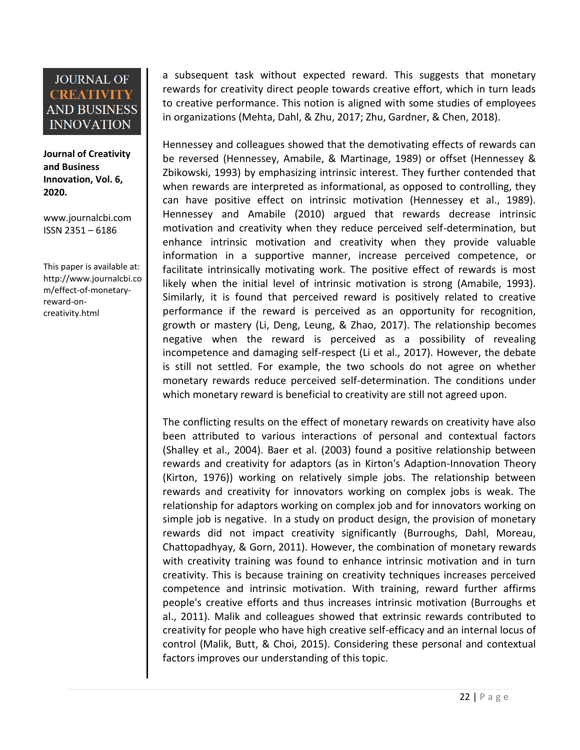**Journal of Creativity and Business Innovation, Vol. 6, 2020.**

[www.journalcbi.com](http://www.journalcbi.com/) ISSN 2351 – 6186

This paper is available at: [http://www.journalcbi.co](http://www.journalcbi.com/ideation-using-analogies.html) [m/effect-of-monetary](http://www.journalcbi.com/ideation-using-analogies.html)[reward-on](http://www.journalcbi.com/ideation-using-analogies.html)[creativity.html](http://www.journalcbi.com/ideation-using-analogies.html)

a subsequent task without expected reward. This suggests that monetary rewards for creativity direct people towards creative effort, which in turn leads to creative performance. This notion is aligned with some studies of employees in organizations (Mehta, Dahl, & Zhu, 2017; Zhu, Gardner, & Chen, 2018).

Hennessey and colleagues showed that the demotivating effects of rewards can be reversed (Hennessey, Amabile, & Martinage, 1989) or offset (Hennessey & Zbikowski, 1993) by emphasizing intrinsic interest. They further contended that when rewards are interpreted as informational, as opposed to controlling, they can have positive effect on intrinsic motivation (Hennessey et al., 1989). Hennessey and Amabile (2010) argued that rewards decrease intrinsic motivation and creativity when they reduce perceived self-determination, but enhance intrinsic motivation and creativity when they provide valuable information in a supportive manner, increase perceived competence, or facilitate intrinsically motivating work. The positive effect of rewards is most likely when the initial level of intrinsic motivation is strong (Amabile, 1993). Similarly, it is found that perceived reward is positively related to creative performance if the reward is perceived as an opportunity for recognition, growth or mastery (Li, Deng, Leung, & Zhao, 2017). The relationship becomes negative when the reward is perceived as a possibility of revealing incompetence and damaging self-respect (Li et al., 2017). However, the debate is still not settled. For example, the two schools do not agree on whether monetary rewards reduce perceived self-determination. The conditions under which monetary reward is beneficial to creativity are still not agreed upon.

The conflicting results on the effect of monetary rewards on creativity have also been attributed to various interactions of personal and contextual factors (Shalley et al., 2004). Baer et al. (2003) found a positive relationship between rewards and creativity for adaptors (as in Kirton's Adaption-Innovation Theory (Kirton, 1976)) working on relatively simple jobs. The relationship between rewards and creativity for innovators working on complex jobs is weak. The relationship for adaptors working on complex job and for innovators working on simple job is negative. In a study on product design, the provision of monetary rewards did not impact creativity significantly (Burroughs, Dahl, Moreau, Chattopadhyay, & Gorn, 2011). However, the combination of monetary rewards with creativity training was found to enhance intrinsic motivation and in turn creativity. This is because training on creativity techniques increases perceived competence and intrinsic motivation. With training, reward further affirms people's creative efforts and thus increases intrinsic motivation (Burroughs et al., 2011). Malik and colleagues showed that extrinsic rewards contributed to creativity for people who have high creative self-efficacy and an internal locus of control (Malik, Butt, & Choi, 2015). Considering these personal and contextual factors improves our understanding of this topic.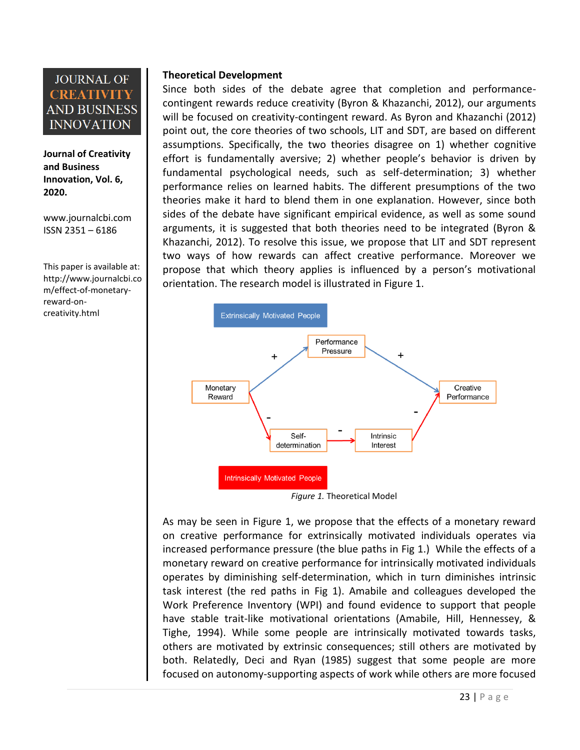**Journal of Creativity and Business Innovation, Vol. 6, 2020.**

[www.journalcbi.com](http://www.journalcbi.com/) ISSN 2351 – 6186

This paper is available at: [http://www.journalcbi.co](http://www.journalcbi.com/ideation-using-analogies.html) [m/effect-of-monetary](http://www.journalcbi.com/ideation-using-analogies.html)[reward-on](http://www.journalcbi.com/ideation-using-analogies.html)[creativity.html](http://www.journalcbi.com/ideation-using-analogies.html)

### **Theoretical Development**

Since both sides of the debate agree that completion and performancecontingent rewards reduce creativity (Byron & Khazanchi, 2012), our arguments will be focused on creativity-contingent reward. As Byron and Khazanchi (2012) point out, the core theories of two schools, LIT and SDT, are based on different assumptions. Specifically, the two theories disagree on 1) whether cognitive effort is fundamentally aversive; 2) whether people's behavior is driven by fundamental psychological needs, such as self-determination; 3) whether performance relies on learned habits. The different presumptions of the two theories make it hard to blend them in one explanation. However, since both sides of the debate have significant empirical evidence, as well as some sound arguments, it is suggested that both theories need to be integrated (Byron & Khazanchi, 2012). To resolve this issue, we propose that LIT and SDT represent two ways of how rewards can affect creative performance. Moreover we propose that which theory applies is influenced by a person's motivational orientation. The research model is illustrated in Figure 1.



As may be seen in Figure 1, we propose that the effects of a monetary reward on creative performance for extrinsically motivated individuals operates via increased performance pressure (the blue paths in Fig 1.) While the effects of a monetary reward on creative performance for intrinsically motivated individuals operates by diminishing self-determination, which in turn diminishes intrinsic task interest (the red paths in Fig 1). Amabile and colleagues developed the Work Preference Inventory (WPI) and found evidence to support that people have stable trait-like motivational orientations (Amabile, Hill, Hennessey, & Tighe, 1994). While some people are intrinsically motivated towards tasks, others are motivated by extrinsic consequences; still others are motivated by both. Relatedly, Deci and Ryan (1985) suggest that some people are more focused on autonomy-supporting aspects of work while others are more focused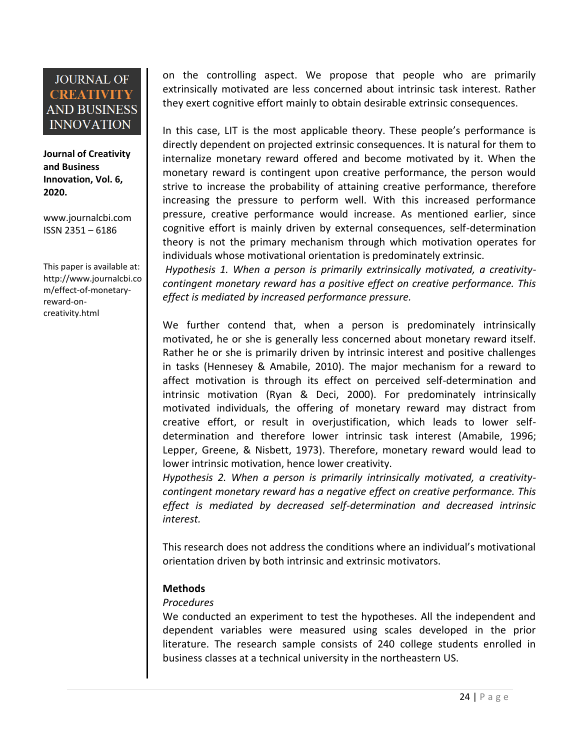**Journal of Creativity and Business Innovation, Vol. 6, 2020.**

[www.journalcbi.com](http://www.journalcbi.com/) ISSN 2351 – 6186

This paper is available at: [http://www.journalcbi.co](http://www.journalcbi.com/ideation-using-analogies.html) [m/effect-of-monetary](http://www.journalcbi.com/ideation-using-analogies.html)[reward-on](http://www.journalcbi.com/ideation-using-analogies.html)[creativity.html](http://www.journalcbi.com/ideation-using-analogies.html)

on the controlling aspect. We propose that people who are primarily extrinsically motivated are less concerned about intrinsic task interest. Rather they exert cognitive effort mainly to obtain desirable extrinsic consequences.

In this case, LIT is the most applicable theory. These people's performance is directly dependent on projected extrinsic consequences. It is natural for them to internalize monetary reward offered and become motivated by it. When the monetary reward is contingent upon creative performance, the person would strive to increase the probability of attaining creative performance, therefore increasing the pressure to perform well. With this increased performance pressure, creative performance would increase. As mentioned earlier, since cognitive effort is mainly driven by external consequences, self-determination theory is not the primary mechanism through which motivation operates for individuals whose motivational orientation is predominately extrinsic.

*Hypothesis 1. When a person is primarily extrinsically motivated, a creativitycontingent monetary reward has a positive effect on creative performance. This effect is mediated by increased performance pressure.* 

We further contend that, when a person is predominately intrinsically motivated, he or she is generally less concerned about monetary reward itself. Rather he or she is primarily driven by intrinsic interest and positive challenges in tasks (Hennesey & Amabile, 2010). The major mechanism for a reward to affect motivation is through its effect on perceived self-determination and intrinsic motivation (Ryan & Deci, 2000). For predominately intrinsically motivated individuals, the offering of monetary reward may distract from creative effort, or result in overjustification, which leads to lower selfdetermination and therefore lower intrinsic task interest (Amabile, 1996; Lepper, Greene, & Nisbett, 1973). Therefore, monetary reward would lead to lower intrinsic motivation, hence lower creativity.

*Hypothesis 2. When a person is primarily intrinsically motivated, a creativitycontingent monetary reward has a negative effect on creative performance. This effect is mediated by decreased self-determination and decreased intrinsic interest.*

This research does not address the conditions where an individual's motivational orientation driven by both intrinsic and extrinsic motivators.

### **Methods**

### *Procedures*

We conducted an experiment to test the hypotheses. All the independent and dependent variables were measured using scales developed in the prior literature. The research sample consists of 240 college students enrolled in business classes at a technical university in the northeastern US.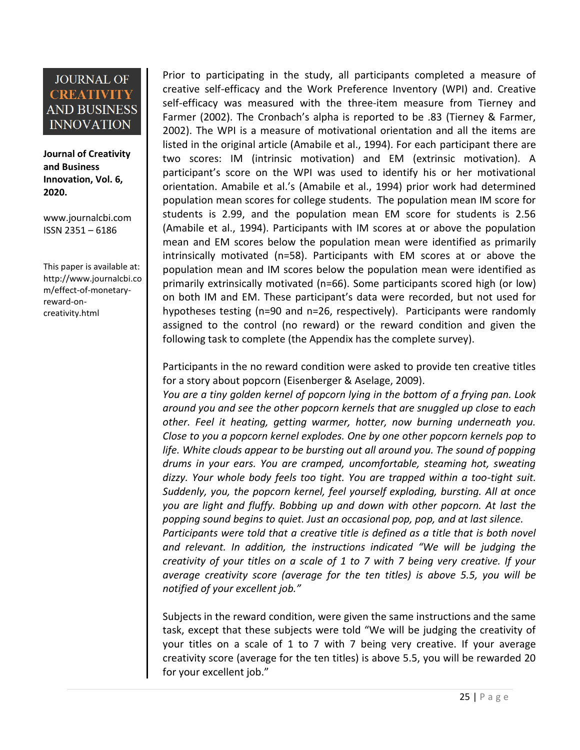**Journal of Creativity and Business Innovation, Vol. 6, 2020.**

[www.journalcbi.com](http://www.journalcbi.com/) ISSN 2351 – 6186

This paper is available at: [http://www.journalcbi.co](http://www.journalcbi.com/ideation-using-analogies.html) [m/effect-of-monetary](http://www.journalcbi.com/ideation-using-analogies.html)[reward-on](http://www.journalcbi.com/ideation-using-analogies.html)[creativity.html](http://www.journalcbi.com/ideation-using-analogies.html)

Prior to participating in the study, all participants completed a measure of creative self-efficacy and the Work Preference Inventory (WPI) and. Creative self-efficacy was measured with the three-item measure from Tierney and Farmer (2002). The Cronbach's alpha is reported to be .83 (Tierney & Farmer, 2002). The WPI is a measure of motivational orientation and all the items are listed in the original article (Amabile et al., 1994). For each participant there are two scores: IM (intrinsic motivation) and EM (extrinsic motivation). A participant's score on the WPI was used to identify his or her motivational orientation. Amabile et al.'s (Amabile et al., 1994) prior work had determined population mean scores for college students. The population mean IM score for students is 2.99, and the population mean EM score for students is 2.56 (Amabile et al., 1994). Participants with IM scores at or above the population mean and EM scores below the population mean were identified as primarily intrinsically motivated (n=58). Participants with EM scores at or above the population mean and IM scores below the population mean were identified as primarily extrinsically motivated (n=66). Some participants scored high (or low) on both IM and EM. These participant's data were recorded, but not used for hypotheses testing (n=90 and n=26, respectively). Participants were randomly assigned to the control (no reward) or the reward condition and given the following task to complete (the Appendix has the complete survey).

Participants in the no reward condition were asked to provide ten creative titles for a story about popcorn (Eisenberger & Aselage, 2009).

*You are a tiny golden kernel of popcorn lying in the bottom of a frying pan. Look around you and see the other popcorn kernels that are snuggled up close to each other. Feel it heating, getting warmer, hotter, now burning underneath you. Close to you a popcorn kernel explodes. One by one other popcorn kernels pop to life. White clouds appear to be bursting out all around you. The sound of popping drums in your ears. You are cramped, uncomfortable, steaming hot, sweating dizzy. Your whole body feels too tight. You are trapped within a too-tight suit. Suddenly, you, the popcorn kernel, feel yourself exploding, bursting. All at once you are light and fluffy. Bobbing up and down with other popcorn. At last the popping sound begins to quiet. Just an occasional pop, pop, and at last silence. Participants were told that a creative title is defined as a title that is both novel* 

and relevant. In addition, the instructions indicated "We will be judging the *creativity of your titles on a scale of 1 to 7 with 7 being very creative. If your average creativity score (average for the ten titles) is above 5.5, you will be notified of your excellent job."* 

Subjects in the reward condition, were given the same instructions and the same task, except that these subjects were told "We will be judging the creativity of your titles on a scale of 1 to 7 with 7 being very creative. If your average creativity score (average for the ten titles) is above 5.5, you will be rewarded 20 for your excellent job."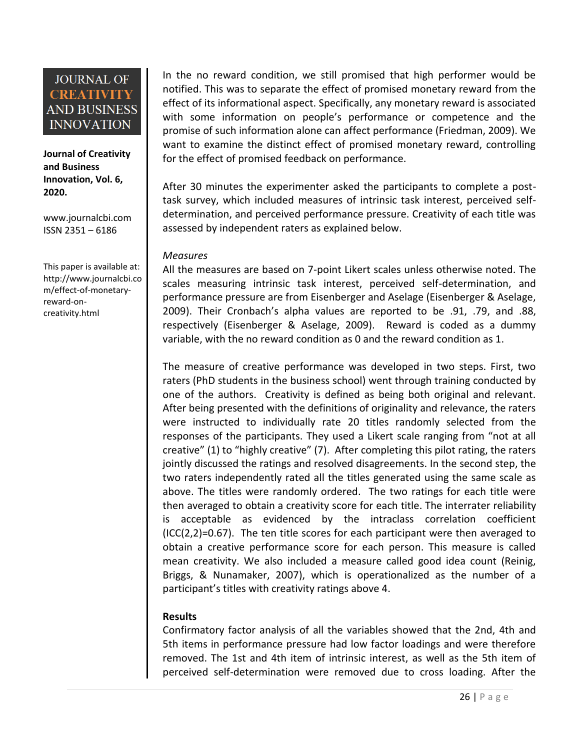**Journal of Creativity and Business Innovation, Vol. 6, 2020.**

[www.journalcbi.com](http://www.journalcbi.com/) ISSN 2351 – 6186

This paper is available at: [http://www.journalcbi.co](http://www.journalcbi.com/ideation-using-analogies.html) [m/effect-of-monetary](http://www.journalcbi.com/ideation-using-analogies.html)[reward-on](http://www.journalcbi.com/ideation-using-analogies.html)[creativity.html](http://www.journalcbi.com/ideation-using-analogies.html)

In the no reward condition, we still promised that high performer would be notified. This was to separate the effect of promised monetary reward from the effect of its informational aspect. Specifically, any monetary reward is associated with some information on people's performance or competence and the promise of such information alone can affect performance (Friedman, 2009). We want to examine the distinct effect of promised monetary reward, controlling for the effect of promised feedback on performance.

After 30 minutes the experimenter asked the participants to complete a posttask survey, which included measures of intrinsic task interest, perceived selfdetermination, and perceived performance pressure. Creativity of each title was assessed by independent raters as explained below.

#### *Measures*

All the measures are based on 7-point Likert scales unless otherwise noted. The scales measuring intrinsic task interest, perceived self-determination, and performance pressure are from Eisenberger and Aselage (Eisenberger & Aselage, 2009). Their Cronbach's alpha values are reported to be .91, .79, and .88, respectively (Eisenberger & Aselage, 2009). Reward is coded as a dummy variable, with the no reward condition as 0 and the reward condition as 1.

The measure of creative performance was developed in two steps. First, two raters (PhD students in the business school) went through training conducted by one of the authors. Creativity is defined as being both original and relevant. After being presented with the definitions of originality and relevance, the raters were instructed to individually rate 20 titles randomly selected from the responses of the participants. They used a Likert scale ranging from "not at all creative" (1) to "highly creative" (7). After completing this pilot rating, the raters jointly discussed the ratings and resolved disagreements. In the second step, the two raters independently rated all the titles generated using the same scale as above. The titles were randomly ordered. The two ratings for each title were then averaged to obtain a creativity score for each title. The interrater reliability is acceptable as evidenced by the intraclass correlation coefficient  $(ICC(2,2)=0.67)$ . The ten title scores for each participant were then averaged to obtain a creative performance score for each person. This measure is called mean creativity. We also included a measure called good idea count (Reinig, Briggs, & Nunamaker, 2007), which is operationalized as the number of a participant's titles with creativity ratings above 4.

### **Results**

Confirmatory factor analysis of all the variables showed that the 2nd, 4th and 5th items in performance pressure had low factor loadings and were therefore removed. The 1st and 4th item of intrinsic interest, as well as the 5th item of perceived self-determination were removed due to cross loading. After the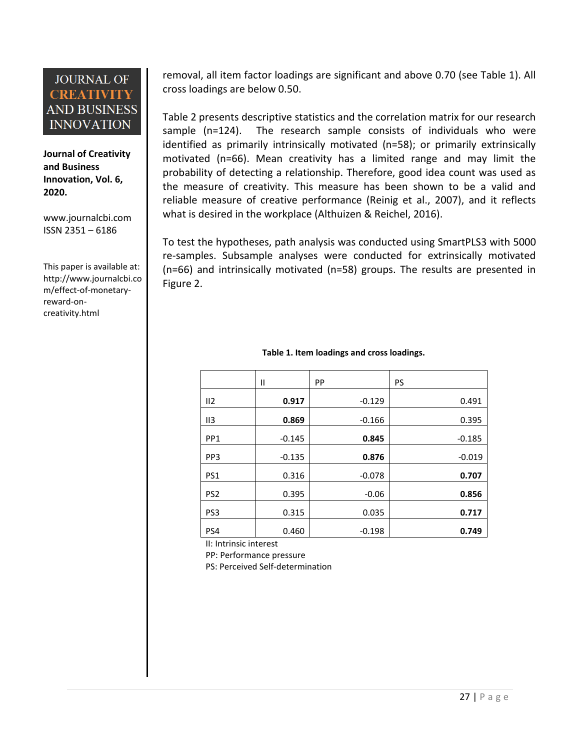**Journal of Creativity and Business Innovation, Vol. 6, 2020.**

[www.journalcbi.com](http://www.journalcbi.com/) ISSN 2351 – 6186

This paper is available at: [http://www.journalcbi.co](http://www.journalcbi.com/ideation-using-analogies.html) [m/effect-of-monetary](http://www.journalcbi.com/ideation-using-analogies.html)[reward-on](http://www.journalcbi.com/ideation-using-analogies.html)[creativity.html](http://www.journalcbi.com/ideation-using-analogies.html)

removal, all item factor loadings are significant and above 0.70 (see Table 1). All cross loadings are below 0.50.

Table 2 presents descriptive statistics and the correlation matrix for our research sample (n=124). The research sample consists of individuals who were identified as primarily intrinsically motivated (n=58); or primarily extrinsically motivated (n=66). Mean creativity has a limited range and may limit the probability of detecting a relationship. Therefore, good idea count was used as the measure of creativity. This measure has been shown to be a valid and reliable measure of creative performance (Reinig et al., 2007), and it reflects what is desired in the workplace (Althuizen & Reichel, 2016).

To test the hypotheses, path analysis was conducted using SmartPLS3 with 5000 re-samples. Subsample analyses were conducted for extrinsically motivated (n=66) and intrinsically motivated (n=58) groups. The results are presented in Figure 2.

|                 | Ш        | <b>PP</b> | <b>PS</b> |
|-----------------|----------|-----------|-----------|
| II2             | 0.917    | $-0.129$  | 0.491     |
| II <sub>3</sub> | 0.869    | $-0.166$  | 0.395     |
| PP <sub>1</sub> | $-0.145$ | 0.845     | $-0.185$  |
| PP <sub>3</sub> | $-0.135$ | 0.876     | $-0.019$  |
| PS1             | 0.316    | $-0.078$  | 0.707     |
| PS <sub>2</sub> | 0.395    | $-0.06$   | 0.856     |
| PS <sub>3</sub> | 0.315    | 0.035     | 0.717     |
| PS4             | 0.460    | $-0.198$  | 0.749     |

#### **Table 1. Item loadings and cross loadings.**

II: Intrinsic interest

PP: Performance pressure PS: Perceived Self-determination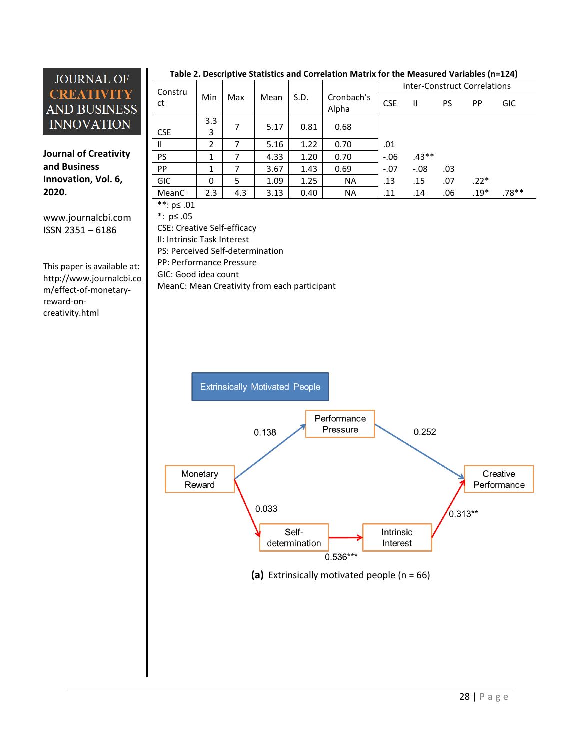**Journal of Creativity and Business Innovation, Vol. 6, 2020.**

[www.journalcbi.com](http://www.journalcbi.com/) ISSN 2351 – 6186

This paper is available at: [http://www.journalcbi.co](http://www.journalcbi.com/ideation-using-analogies.html) [m/effect-of-monetary](http://www.journalcbi.com/ideation-using-analogies.html)[reward-on](http://www.journalcbi.com/ideation-using-analogies.html)[creativity.html](http://www.journalcbi.com/ideation-using-analogies.html)

|            | Table 2. Descriptive Statistics and Correlation Ividing for the Ivicasured Variables (II–124) |     |      |      |                     |                                     |         |     |        |            |  |  |  |
|------------|-----------------------------------------------------------------------------------------------|-----|------|------|---------------------|-------------------------------------|---------|-----|--------|------------|--|--|--|
| Constru    |                                                                                               |     |      |      |                     | <b>Inter-Construct Correlations</b> |         |     |        |            |  |  |  |
| ct         | Min                                                                                           | Max | Mean | S.D. | Cronbach's<br>Alpha | <b>CSE</b>                          | Ш       | PS  | PP     | <b>GIC</b> |  |  |  |
|            | 3.3                                                                                           | 7   | 5.17 | 0.81 | 0.68                |                                     |         |     |        |            |  |  |  |
| <b>CSE</b> | 3                                                                                             |     |      |      |                     |                                     |         |     |        |            |  |  |  |
| Ш          | 2                                                                                             |     | 5.16 | 1.22 | 0.70                | .01                                 |         |     |        |            |  |  |  |
| <b>PS</b>  | 1                                                                                             |     | 4.33 | 1.20 | 0.70                | $-0.06$                             | $.43**$ |     |        |            |  |  |  |
| PP         | 1                                                                                             |     | 3.67 | 1.43 | 0.69                | $-.07$                              | $-.08$  | .03 |        |            |  |  |  |
| <b>GIC</b> | 0                                                                                             | 5   | 1.09 | 1.25 | <b>NA</b>           | .13                                 | .15     | .07 | $.22*$ |            |  |  |  |
| MeanC      | 2.3                                                                                           | 4.3 | 3.13 | 0.40 | <b>NA</b>           | .11                                 | .14     | .06 | $.19*$ | .78**      |  |  |  |

#### **Table 2. Descriptive Statistics and Correlation Matrix for the Measured Variables (n=124)**

\*\*: p≤ .01

\*: p≤ .05

CSE: Creative Self-efficacy II: Intrinsic Task Interest PS: Perceived Self-determination PP: Performance Pressure GIC: Good idea count MeanC: Mean Creativity from each participant

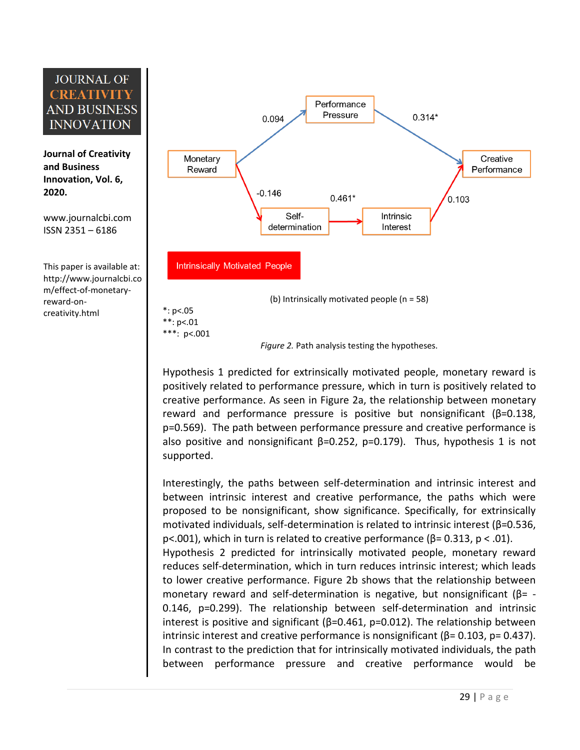**Journal of Creativity and Business Innovation, Vol. 6, 2020.**

[www.journalcbi.com](http://www.journalcbi.com/) ISSN 2351 – 6186

This paper is available at: [http://www.journalcbi.co](http://www.journalcbi.com/ideation-using-analogies.html) [m/effect-of-monetary](http://www.journalcbi.com/ideation-using-analogies.html)[reward-on](http://www.journalcbi.com/ideation-using-analogies.html)[creativity.html](http://www.journalcbi.com/ideation-using-analogies.html)



*Figure 2.* Path analysis testing the hypotheses.

Hypothesis 1 predicted for extrinsically motivated people, monetary reward is positively related to performance pressure, which in turn is positively related to creative performance. As seen in Figure 2a, the relationship between monetary reward and performance pressure is positive but nonsignificant (β=0.138, p=0.569). The path between performance pressure and creative performance is also positive and nonsignificant  $\beta$ =0.252, p=0.179). Thus, hypothesis 1 is not supported.

Interestingly, the paths between self-determination and intrinsic interest and between intrinsic interest and creative performance, the paths which were proposed to be nonsignificant, show significance. Specifically, for extrinsically motivated individuals, self-determination is related to intrinsic interest (β=0.536, p<.001), which in turn is related to creative performance ( $β = 0.313$ ,  $p < .01$ ).

Hypothesis 2 predicted for intrinsically motivated people, monetary reward reduces self-determination, which in turn reduces intrinsic interest; which leads to lower creative performance. Figure 2b shows that the relationship between monetary reward and self-determination is negative, but nonsignificant ( $\beta$ = -0.146, p=0.299). The relationship between self-determination and intrinsic interest is positive and significant  $(β=0.461, p=0.012)$ . The relationship between intrinsic interest and creative performance is nonsignificant ( $β = 0.103$ ,  $p = 0.437$ ). In contrast to the prediction that for intrinsically motivated individuals, the path between performance pressure and creative performance would be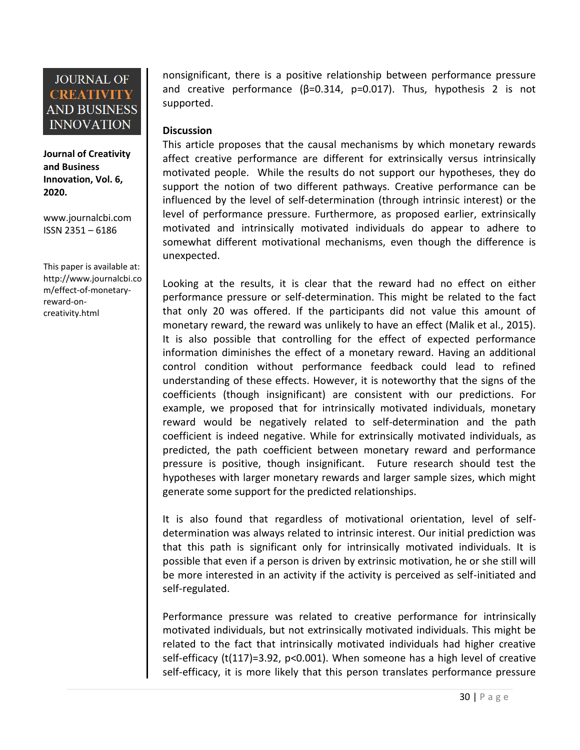**Journal of Creativity and Business Innovation, Vol. 6, 2020.**

[www.journalcbi.com](http://www.journalcbi.com/) ISSN 2351 – 6186

This paper is available at: [http://www.journalcbi.co](http://www.journalcbi.com/ideation-using-analogies.html) [m/effect-of-monetary](http://www.journalcbi.com/ideation-using-analogies.html)[reward-on](http://www.journalcbi.com/ideation-using-analogies.html)[creativity.html](http://www.journalcbi.com/ideation-using-analogies.html)

nonsignificant, there is a positive relationship between performance pressure and creative performance ( $\beta$ =0.314, p=0.017). Thus, hypothesis 2 is not supported.

### **Discussion**

This article proposes that the causal mechanisms by which monetary rewards affect creative performance are different for extrinsically versus intrinsically motivated people. While the results do not support our hypotheses, they do support the notion of two different pathways. Creative performance can be influenced by the level of self-determination (through intrinsic interest) or the level of performance pressure. Furthermore, as proposed earlier, extrinsically motivated and intrinsically motivated individuals do appear to adhere to somewhat different motivational mechanisms, even though the difference is unexpected.

Looking at the results, it is clear that the reward had no effect on either performance pressure or self-determination. This might be related to the fact that only 20 was offered. If the participants did not value this amount of monetary reward, the reward was unlikely to have an effect (Malik et al., 2015). It is also possible that controlling for the effect of expected performance information diminishes the effect of a monetary reward. Having an additional control condition without performance feedback could lead to refined understanding of these effects. However, it is noteworthy that the signs of the coefficients (though insignificant) are consistent with our predictions. For example, we proposed that for intrinsically motivated individuals, monetary reward would be negatively related to self-determination and the path coefficient is indeed negative. While for extrinsically motivated individuals, as predicted, the path coefficient between monetary reward and performance pressure is positive, though insignificant. Future research should test the hypotheses with larger monetary rewards and larger sample sizes, which might generate some support for the predicted relationships.

It is also found that regardless of motivational orientation, level of selfdetermination was always related to intrinsic interest. Our initial prediction was that this path is significant only for intrinsically motivated individuals. It is possible that even if a person is driven by extrinsic motivation, he or she still will be more interested in an activity if the activity is perceived as self-initiated and self-regulated.

Performance pressure was related to creative performance for intrinsically motivated individuals, but not extrinsically motivated individuals. This might be related to the fact that intrinsically motivated individuals had higher creative self-efficacy (t(117)=3.92, p<0.001). When someone has a high level of creative self-efficacy, it is more likely that this person translates performance pressure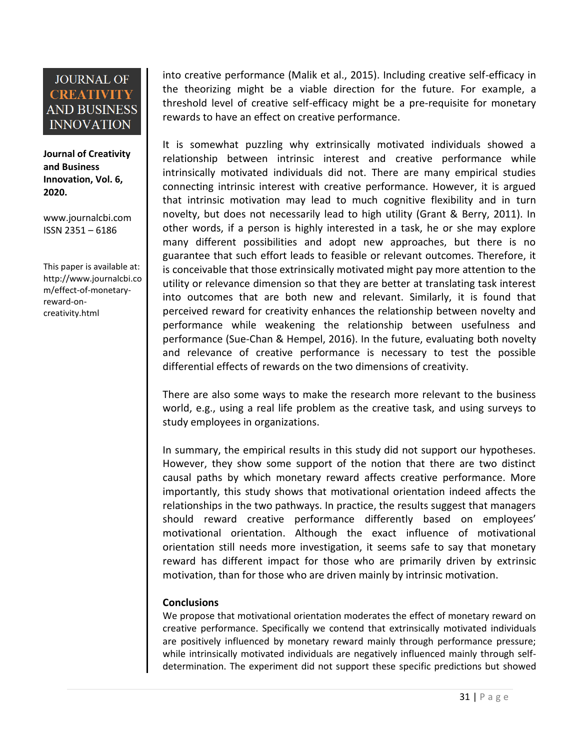**Journal of Creativity and Business Innovation, Vol. 6, 2020.**

[www.journalcbi.com](http://www.journalcbi.com/) ISSN 2351 – 6186

This paper is available at: [http://www.journalcbi.co](http://www.journalcbi.com/ideation-using-analogies.html) [m/effect-of-monetary](http://www.journalcbi.com/ideation-using-analogies.html)[reward-on](http://www.journalcbi.com/ideation-using-analogies.html)[creativity.html](http://www.journalcbi.com/ideation-using-analogies.html)

into creative performance (Malik et al., 2015). Including creative self-efficacy in the theorizing might be a viable direction for the future. For example, a threshold level of creative self-efficacy might be a pre-requisite for monetary rewards to have an effect on creative performance.

It is somewhat puzzling why extrinsically motivated individuals showed a relationship between intrinsic interest and creative performance while intrinsically motivated individuals did not. There are many empirical studies connecting intrinsic interest with creative performance. However, it is argued that intrinsic motivation may lead to much cognitive flexibility and in turn novelty, but does not necessarily lead to high utility (Grant & Berry, 2011). In other words, if a person is highly interested in a task, he or she may explore many different possibilities and adopt new approaches, but there is no guarantee that such effort leads to feasible or relevant outcomes. Therefore, it is conceivable that those extrinsically motivated might pay more attention to the utility or relevance dimension so that they are better at translating task interest into outcomes that are both new and relevant. Similarly, it is found that perceived reward for creativity enhances the relationship between novelty and performance while weakening the relationship between usefulness and performance (Sue-Chan & Hempel, 2016). In the future, evaluating both novelty and relevance of creative performance is necessary to test the possible differential effects of rewards on the two dimensions of creativity.

There are also some ways to make the research more relevant to the business world, e.g., using a real life problem as the creative task, and using surveys to study employees in organizations.

In summary, the empirical results in this study did not support our hypotheses. However, they show some support of the notion that there are two distinct causal paths by which monetary reward affects creative performance. More importantly, this study shows that motivational orientation indeed affects the relationships in the two pathways. In practice, the results suggest that managers should reward creative performance differently based on employees' motivational orientation. Although the exact influence of motivational orientation still needs more investigation, it seems safe to say that monetary reward has different impact for those who are primarily driven by extrinsic motivation, than for those who are driven mainly by intrinsic motivation.

### **Conclusions**

We propose that motivational orientation moderates the effect of monetary reward on creative performance. Specifically we contend that extrinsically motivated individuals are positively influenced by monetary reward mainly through performance pressure; while intrinsically motivated individuals are negatively influenced mainly through selfdetermination. The experiment did not support these specific predictions but showed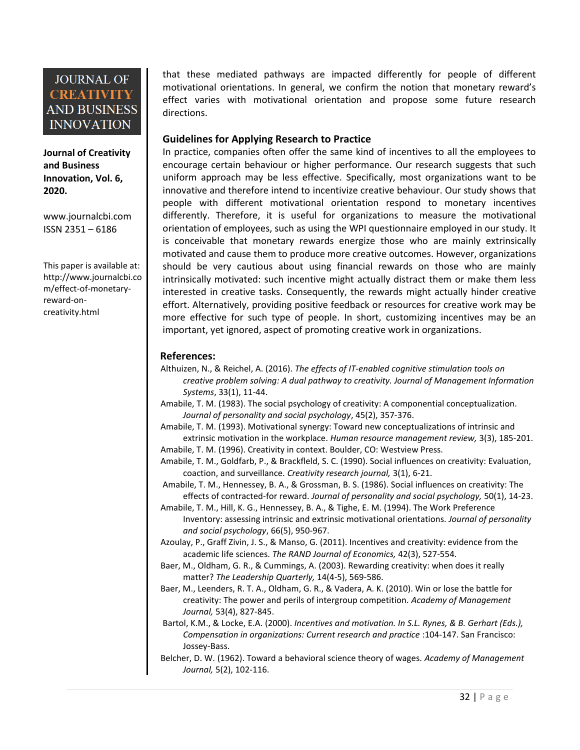**Journal of Creativity and Business Innovation, Vol. 6, 2020.**

[www.journalcbi.com](http://www.journalcbi.com/) ISSN 2351 – 6186

This paper is available at: [http://www.journalcbi.co](http://www.journalcbi.com/ideation-using-analogies.html) [m/effect-of-monetary](http://www.journalcbi.com/ideation-using-analogies.html)[reward-on](http://www.journalcbi.com/ideation-using-analogies.html)[creativity.html](http://www.journalcbi.com/ideation-using-analogies.html)

that these mediated pathways are impacted differently for people of different motivational orientations. In general, we confirm the notion that monetary reward's effect varies with motivational orientation and propose some future research directions.

#### **Guidelines for Applying Research to Practice**

In practice, companies often offer the same kind of incentives to all the employees to encourage certain behaviour or higher performance. Our research suggests that such uniform approach may be less effective. Specifically, most organizations want to be innovative and therefore intend to incentivize creative behaviour. Our study shows that people with different motivational orientation respond to monetary incentives differently. Therefore, it is useful for organizations to measure the motivational orientation of employees, such as using the WPI questionnaire employed in our study. It is conceivable that monetary rewards energize those who are mainly extrinsically motivated and cause them to produce more creative outcomes. However, organizations should be very cautious about using financial rewards on those who are mainly intrinsically motivated: such incentive might actually distract them or make them less interested in creative tasks. Consequently, the rewards might actually hinder creative effort. Alternatively, providing positive feedback or resources for creative work may be more effective for such type of people. In short, customizing incentives may be an important, yet ignored, aspect of promoting creative work in organizations.

#### **References:**

- Althuizen, N., & Reichel, A. (2016). *The effects of IT-enabled cognitive stimulation tools on creative problem solving: A dual pathway to creativity. Journal of Management Information Systems*, 33(1), 11-44.
- Amabile, T. M. (1983). The social psychology of creativity: A componential conceptualization. *Journal of personality and social psychology*, 45(2), 357-376.

Amabile, T. M. (1993). Motivational synergy: Toward new conceptualizations of intrinsic and extrinsic motivation in the workplace. *Human resource management review,* 3(3), 185-201.

Amabile, T. M. (1996). Creativity in context. Boulder, CO: Westview Press.

Amabile, T. M., Goldfarb, P., & Brackfleld, S. C. (1990). Social influences on creativity: Evaluation, coaction, and surveillance. *Creativity research journal,* 3(1), 6-21.

Amabile, T. M., Hennessey, B. A., & Grossman, B. S. (1986). Social influences on creativity: The effects of contracted-for reward. *Journal of personality and social psychology,* 50(1), 14-23.

- Amabile, T. M., Hill, K. G., Hennessey, B. A., & Tighe, E. M. (1994). The Work Preference Inventory: assessing intrinsic and extrinsic motivational orientations. *Journal of personality and social psychology*, 66(5), 950-967.
- Azoulay, P., Graff Zivin, J. S., & Manso, G. (2011). Incentives and creativity: evidence from the academic life sciences. *The RAND Journal of Economics,* 42(3), 527-554.
- Baer, M., Oldham, G. R., & Cummings, A. (2003). Rewarding creativity: when does it really matter? *The Leadership Quarterly,* 14(4-5), 569-586.
- Baer, M., Leenders, R. T. A., Oldham, G. R., & Vadera, A. K. (2010). Win or lose the battle for creativity: The power and perils of intergroup competition*. Academy of Management Journal,* 53(4), 827-845.
- Bartol, K.M., & Locke, E.A. (2000). *Incentives and motivation. In S.L. Rynes, & B. Gerhart (Eds.), Compensation in organizations: Current research and practice* :104-147. San Francisco: Jossey-Bass.
- Belcher, D. W. (1962). Toward a behavioral science theory of wages. *Academy of Management Journal,* 5(2), 102-116.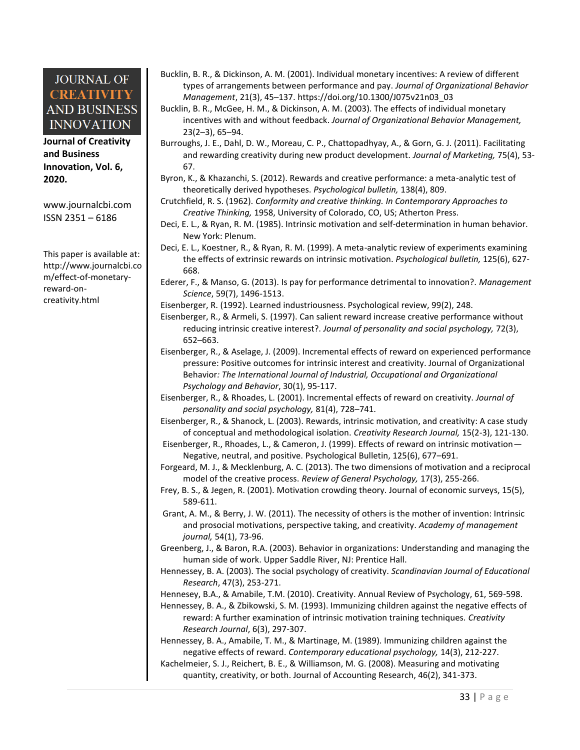**Journal of Creativity and Business Innovation, Vol. 6, 2020.**

[www.journalcbi.com](http://www.journalcbi.com/) ISSN 2351 – 6186

This paper is available at: [http://www.journalcbi.co](http://www.journalcbi.com/ideation-using-analogies.html) [m/effect-of-monetary](http://www.journalcbi.com/ideation-using-analogies.html)[reward-on](http://www.journalcbi.com/ideation-using-analogies.html)[creativity.html](http://www.journalcbi.com/ideation-using-analogies.html)

- Bucklin, B. R., & Dickinson, A. M. (2001). Individual monetary incentives: A review of different types of arrangements between performance and pay. *Journal of Organizational Behavior Management*, 21(3), 45–137. https://doi.org/10.1300/J075v21n03\_03
- Bucklin, B. R., McGee, H. M., & Dickinson, A. M. (2003). The effects of individual monetary incentives with and without feedback. *Journal of Organizational Behavior Management,* 23(2–3), 65–94.
- Burroughs, J. E., Dahl, D. W., Moreau, C. P., Chattopadhyay, A., & Gorn, G. J. (2011). Facilitating and rewarding creativity during new product development. *Journal of Marketing,* 75(4), 53- 67.
- Byron, K., & Khazanchi, S. (2012). Rewards and creative performance: a meta-analytic test of theoretically derived hypotheses. *Psychological bulletin,* 138(4), 809.
- Crutchfield, R. S. (1962). *Conformity and creative thinking. In Contemporary Approaches to Creative Thinking,* 1958, University of Colorado, CO, US; Atherton Press.
- Deci, E. L., & Ryan, R. M. (1985). Intrinsic motivation and self-determination in human behavior. New York: Plenum.
- Deci, E. L., Koestner, R., & Ryan, R. M. (1999). A meta-analytic review of experiments examining the effects of extrinsic rewards on intrinsic motivation. *Psychological bulletin,* 125(6), 627- 668.
- Ederer, F., & Manso, G. (2013). Is pay for performance detrimental to innovation?. *Management Science*, 59(7), 1496-1513.
- Eisenberger, R. (1992). Learned industriousness. Psychological review, 99(2), 248.
- Eisenberger, R., & Armeli, S. (1997). Can salient reward increase creative performance without reducing intrinsic creative interest?. *Journal of personality and social psychology,* 72(3), 652–663.
- Eisenberger, R., & Aselage, J. (2009). Incremental effects of reward on experienced performance pressure: Positive outcomes for intrinsic interest and creativity. Journal of Organizational Behavior*: The International Journal of Industrial, Occupational and Organizational Psychology and Behavior*, 30(1), 95-117.
- Eisenberger, R., & Rhoades, L. (2001). Incremental effects of reward on creativity. *Journal of personality and social psychology,* 81(4), 728–741.
- Eisenberger, R., & Shanock, L. (2003). Rewards, intrinsic motivation, and creativity: A case study of conceptual and methodological isolation. *Creativity Research Journal,* 15(2-3), 121-130.
- Eisenberger, R., Rhoades, L., & Cameron, J. (1999). Effects of reward on intrinsic motivation— Negative, neutral, and positive. Psychological Bulletin, 125(6), 677–691.
- Forgeard, M. J., & Mecklenburg, A. C. (2013). The two dimensions of motivation and a reciprocal model of the creative process. *Review of General Psychology,* 17(3), 255-266.
- Frey, B. S., & Jegen, R. (2001). Motivation crowding theory. Journal of economic surveys, 15(5), 589-611.
- Grant, A. M., & Berry, J. W. (2011). The necessity of others is the mother of invention: Intrinsic and prosocial motivations, perspective taking, and creativity. *Academy of management journal,* 54(1), 73-96.
- Greenberg, J., & Baron, R.A. (2003). Behavior in organizations: Understanding and managing the human side of work. Upper Saddle River, NJ: Prentice Hall.
- Hennessey, B. A. (2003). The social psychology of creativity. *Scandinavian Journal of Educational Research*, 47(3), 253-271.
- Hennesey, B.A., & Amabile, T.M. (2010). Creativity. Annual Review of Psychology, 61, 569-598.
- Hennessey, B. A., & Zbikowski, S. M. (1993). Immunizing children against the negative effects of reward: A further examination of intrinsic motivation training techniques. *Creativity Research Journal*, 6(3), 297-307.
- Hennessey, B. A., Amabile, T. M., & Martinage, M. (1989). Immunizing children against the negative effects of reward. *Contemporary educational psychology,* 14(3), 212-227.
- Kachelmeier, S. J., Reichert, B. E., & Williamson, M. G. (2008). Measuring and motivating quantity, creativity, or both. Journal of Accounting Research, 46(2), 341-373.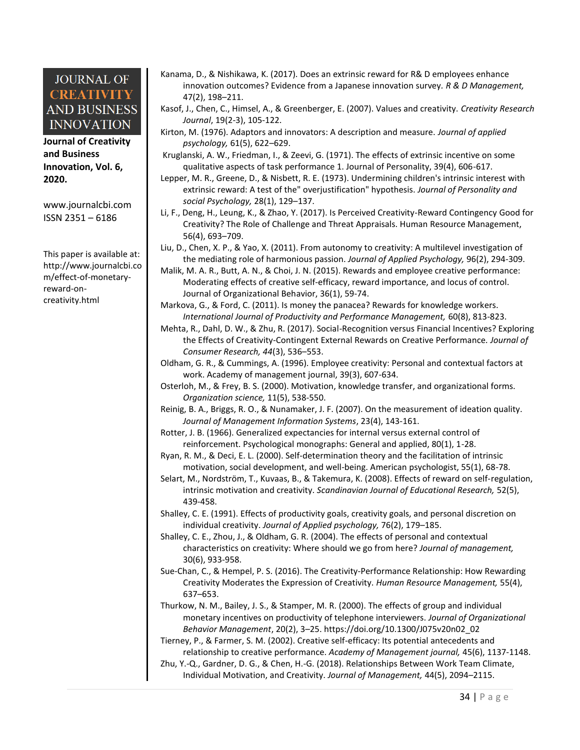**Journal of Creativity and Business Innovation, Vol. 6, 2020.**

[www.journalcbi.com](http://www.journalcbi.com/) ISSN 2351 – 6186

This paper is available at: [http://www.journalcbi.co](http://www.journalcbi.com/ideation-using-analogies.html) [m/effect-of-monetary](http://www.journalcbi.com/ideation-using-analogies.html)[reward-on](http://www.journalcbi.com/ideation-using-analogies.html)[creativity.html](http://www.journalcbi.com/ideation-using-analogies.html)

- Kanama, D., & Nishikawa, K. (2017). Does an extrinsic reward for R& D employees enhance innovation outcomes? Evidence from a Japanese innovation survey*. R & D Management,* 47(2), 198–211.
- Kasof, J., Chen, C., Himsel, A., & Greenberger, E. (2007). Values and creativity. *Creativity Research Journal*, 19(2-3), 105-122.
- Kirton, M. (1976). Adaptors and innovators: A description and measure. *Journal of applied psychology,* 61(5), 622–629.
- Kruglanski, A. W., Friedman, I., & Zeevi, G. (1971). The effects of extrinsic incentive on some qualitative aspects of task performance 1. Journal of Personality, 39(4), 606-617.
- Lepper, M. R., Greene, D., & Nisbett, R. E. (1973). Undermining children's intrinsic interest with extrinsic reward: A test of the" overjustification" hypothesis. *Journal of Personality and social Psychology,* 28(1), 129–137.
- Li, F., Deng, H., Leung, K., & Zhao, Y. (2017). Is Perceived Creativity-Reward Contingency Good for Creativity? The Role of Challenge and Threat Appraisals. Human Resource Management, 56(4), 693–709.
- Liu, D., Chen, X. P., & Yao, X. (2011). From autonomy to creativity: A multilevel investigation of the mediating role of harmonious passion. *Journal of Applied Psychology,* 96(2), 294-309.
- Malik, M. A. R., Butt, A. N., & Choi, J. N. (2015). Rewards and employee creative performance: Moderating effects of creative self‐efficacy, reward importance, and locus of control. Journal of Organizational Behavior, 36(1), 59-74.
- Markova, G., & Ford, C. (2011). Is money the panacea? Rewards for knowledge workers. *International Journal of Productivity and Performance Management,* 60(8), 813-823.
- Mehta, R., Dahl, D. W., & Zhu, R. (2017). Social-Recognition versus Financial Incentives? Exploring the Effects of Creativity-Contingent External Rewards on Creative Performance*. Journal of Consumer Research, 44*(3), 536–553.
- Oldham, G. R., & Cummings, A. (1996). Employee creativity: Personal and contextual factors at work. Academy of management journal, 39(3), 607-634.
- Osterloh, M., & Frey, B. S. (2000). Motivation, knowledge transfer, and organizational forms. *Organization science,* 11(5), 538-550.
- Reinig, B. A., Briggs, R. O., & Nunamaker, J. F. (2007). On the measurement of ideation quality. *Journal of Management Information Systems*, 23(4), 143-161.
- Rotter, J. B. (1966). Generalized expectancies for internal versus external control of reinforcement. Psychological monographs: General and applied, 80(1), 1-28.
- Ryan, R. M., & Deci, E. L. (2000). Self-determination theory and the facilitation of intrinsic motivation, social development, and well-being. American psychologist, 55(1), 68-78.
- Selart, M., Nordström, T., Kuvaas, B., & Takemura, K. (2008). Effects of reward on self‐regulation, intrinsic motivation and creativity. *Scandinavian Journal of Educational Research,* 52(5), 439-458.
- Shalley, C. E. (1991). Effects of productivity goals, creativity goals, and personal discretion on individual creativity. *Journal of Applied psychology,* 76(2), 179–185.
- Shalley, C. E., Zhou, J., & Oldham, G. R. (2004). The effects of personal and contextual characteristics on creativity: Where should we go from here? *Journal of management,* 30(6), 933-958.
- Sue-Chan, C., & Hempel, P. S. (2016). The Creativity-Performance Relationship: How Rewarding Creativity Moderates the Expression of Creativity. *Human Resource Management,* 55(4), 637–653.
- Thurkow, N. M., Bailey, J. S., & Stamper, M. R. (2000). The effects of group and individual monetary incentives on productivity of telephone interviewers. *Journal of Organizational Behavior Management*, 20(2), 3–25. https://doi.org/10.1300/J075v20n02\_02

Tierney, P., & Farmer, S. M. (2002). Creative self-efficacy: Its potential antecedents and relationship to creative performance. *Academy of Management journal,* 45(6), 1137-1148.

Zhu, Y.-Q., Gardner, D. G., & Chen, H.-G. (2018). Relationships Between Work Team Climate, Individual Motivation, and Creativity. *Journal of Management,* 44(5), 2094–2115.